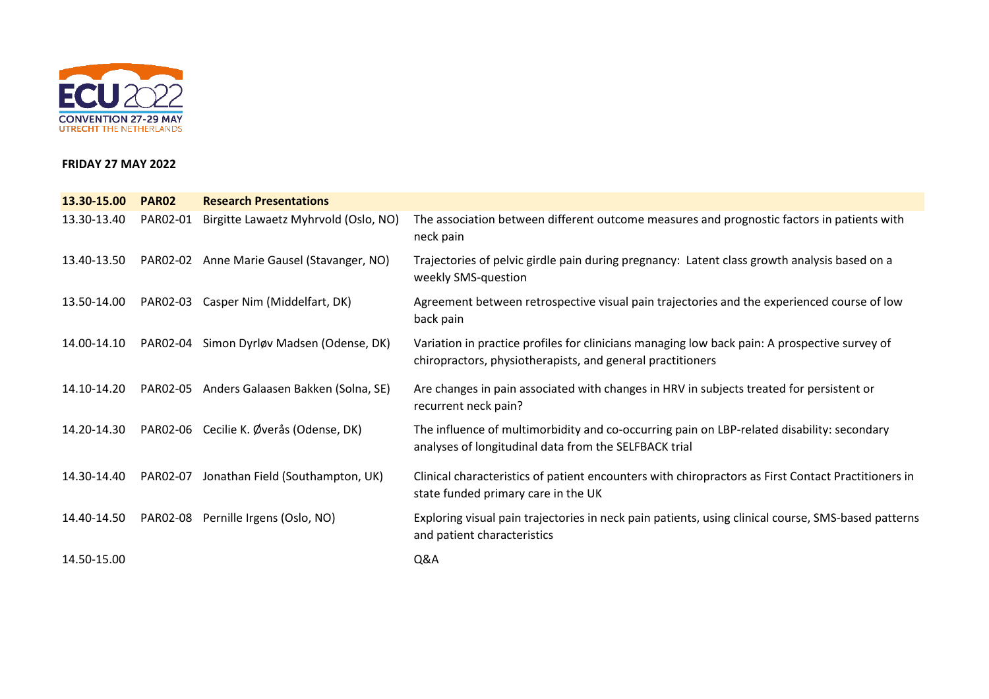

## **FRIDAY 27 MAY 2022**

| 13.30-15.00 | <b>PAR02</b> | <b>Research Presentations</b>               |                                                                                                                                                             |
|-------------|--------------|---------------------------------------------|-------------------------------------------------------------------------------------------------------------------------------------------------------------|
| 13.30-13.40 | PAR02-01     | Birgitte Lawaetz Myhrvold (Oslo, NO)        | The association between different outcome measures and prognostic factors in patients with<br>neck pain                                                     |
| 13.40-13.50 |              | PAR02-02 Anne Marie Gausel (Stavanger, NO)  | Trajectories of pelvic girdle pain during pregnancy: Latent class growth analysis based on a<br>weekly SMS-question                                         |
| 13.50-14.00 |              | PAR02-03 Casper Nim (Middelfart, DK)        | Agreement between retrospective visual pain trajectories and the experienced course of low<br>back pain                                                     |
| 14.00-14.10 | PAR02-04     | Simon Dyrløv Madsen (Odense, DK)            | Variation in practice profiles for clinicians managing low back pain: A prospective survey of<br>chiropractors, physiotherapists, and general practitioners |
| 14.10-14.20 |              | PAR02-05 Anders Galaasen Bakken (Solna, SE) | Are changes in pain associated with changes in HRV in subjects treated for persistent or<br>recurrent neck pain?                                            |
| 14.20-14.30 |              | PAR02-06 Cecilie K. Øverås (Odense, DK)     | The influence of multimorbidity and co-occurring pain on LBP-related disability: secondary<br>analyses of longitudinal data from the SELFBACK trial         |
| 14.30-14.40 | PAR02-07     | Jonathan Field (Southampton, UK)            | Clinical characteristics of patient encounters with chiropractors as First Contact Practitioners in<br>state funded primary care in the UK                  |
| 14.40-14.50 | PAR02-08     | Pernille Irgens (Oslo, NO)                  | Exploring visual pain trajectories in neck pain patients, using clinical course, SMS-based patterns<br>and patient characteristics                          |
| 14.50-15.00 |              |                                             | Q&A                                                                                                                                                         |
|             |              |                                             |                                                                                                                                                             |